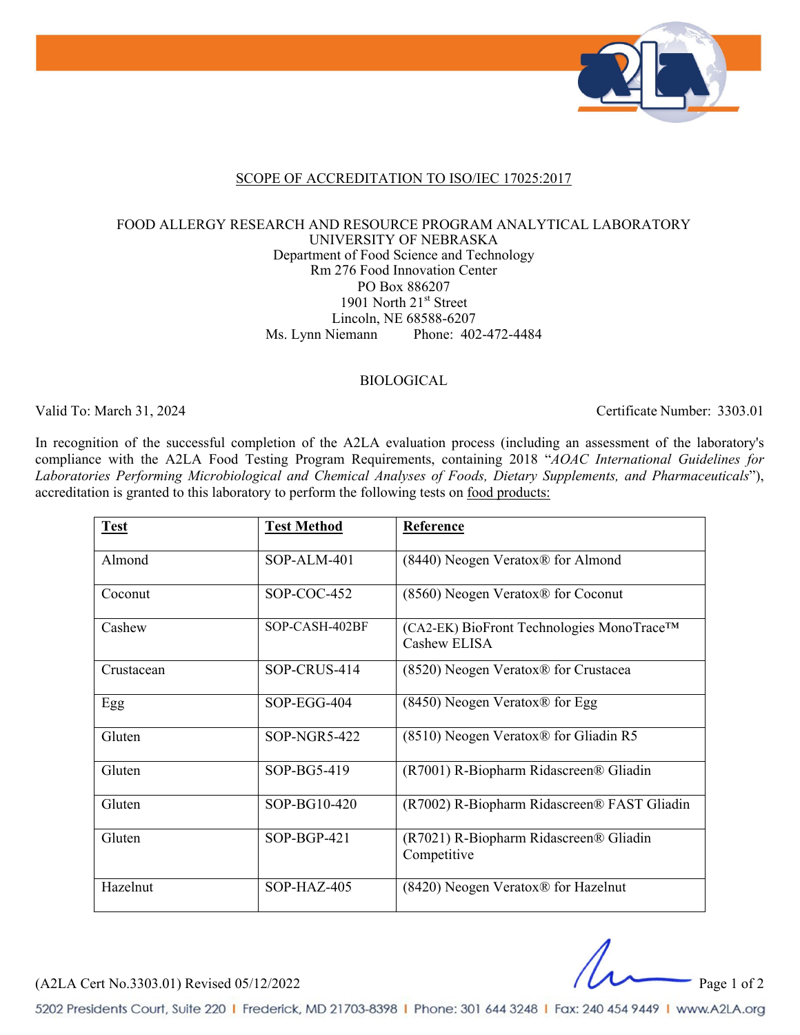

### SCOPE OF ACCREDITATION TO ISO/IEC 17025:2017

#### FOOD ALLERGY RESEARCH AND RESOURCE PROGRAM ANALYTICAL LABORATORY UNIVERSITY OF NEBRASKA Department of Food Science and Technology Rm 276 Food Innovation Center PO Box 886207 1901 North 21<sup>st</sup> Street Lincoln, NE 68588-6207 Ms. Lynn Niemann Phone: 402-472-4484

### BIOLOGICAL

Valid To: March 31, 2024 Certificate Number: 3303.01

In recognition of the successful completion of the A2LA evaluation process (including an assessment of the laboratory's compliance with the A2LA Food Testing Program Requirements, containing 2018 "*AOAC International Guidelines for Laboratories Performing Microbiological and Chemical Analyses of Foods, Dietary Supplements, and Pharmaceuticals*"), accreditation is granted to this laboratory to perform the following tests on food products:

| <b>Test</b> | <b>Test Method</b> | Reference                                                 |
|-------------|--------------------|-----------------------------------------------------------|
| Almond      | SOP-ALM-401        | (8440) Neogen Veratox® for Almond                         |
| Coconut     | SOP-COC-452        | (8560) Neogen Veratox® for Coconut                        |
| Cashew      | SOP-CASH-402BF     | (CA2-EK) BioFront Technologies MonoTrace™<br>Cashew ELISA |
| Crustacean  | SOP-CRUS-414       | (8520) Neogen Veratox <sup>®</sup> for Crustacea          |
| Egg         | SOP-EGG-404        | (8450) Neogen Veratox® for Egg                            |
| Gluten      | SOP-NGR5-422       | $(8510)$ Neogen Veratox® for Gliadin R5                   |
| Gluten      | SOP-BG5-419        | (R7001) R-Biopharm Ridascreen® Gliadin                    |
| Gluten      | SOP-BG10-420       | (R7002) R-Biopharm Ridascreen® FAST Gliadin               |
| Gluten      | $SOP-BGP-421$      | (R7021) R-Biopharm Ridascreen® Gliadin<br>Competitive     |
| Hazelnut    | $SOP-HAZ-405$      | (8420) Neogen Veratox® for Hazelnut                       |

(A2LA Cert No.3303.01) Revised 05/12/2022 Page 1 of 2

5202 Presidents Court, Suite 220 | Frederick, MD 21703-8398 | Phone: 301 644 3248 | Fax: 240 454 9449 | www.A2LA.org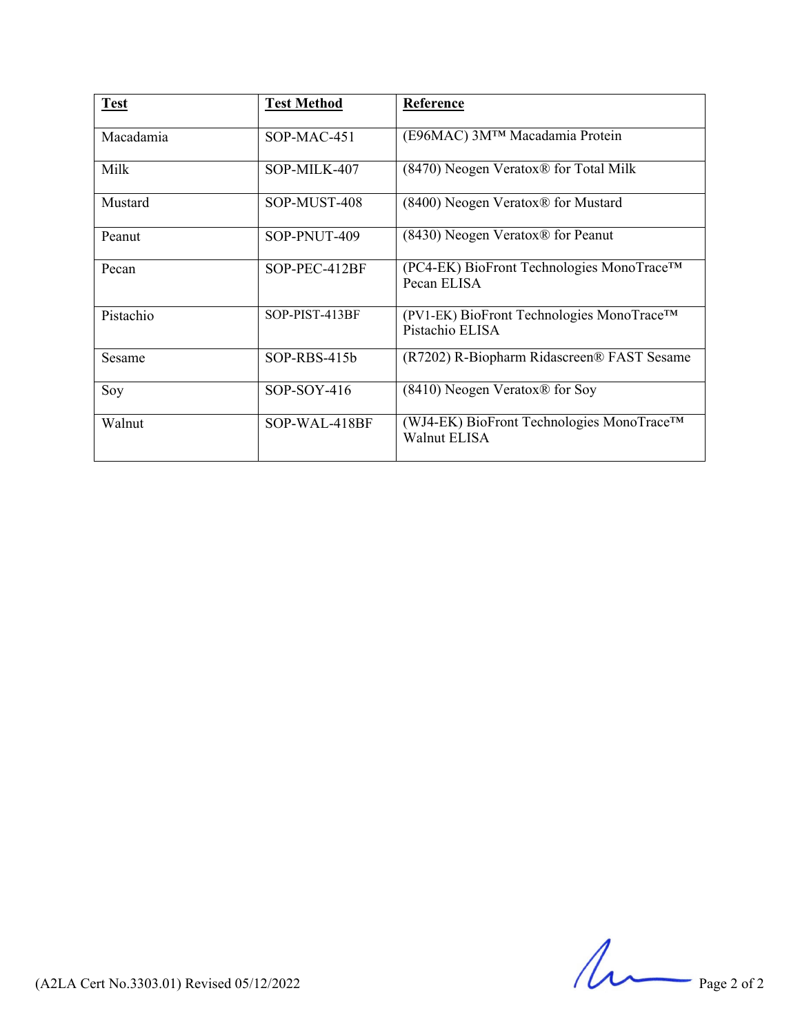| <b>Test</b> | <b>Test Method</b> | Reference                                                        |
|-------------|--------------------|------------------------------------------------------------------|
| Macadamia   | $SOP-MAC-451$      | (E96MAC) 3MTM Macadamia Protein                                  |
| Milk        | SOP-MILK-407       | $(8470)$ Neogen Veratox <sup>®</sup> for Total Milk              |
| Mustard     | SOP-MUST-408       | (8400) Neogen Veratox® for Mustard                               |
| Peanut      | SOP-PNUT-409       | (8430) Neogen Veratox® for Peanut                                |
| Pecan       | SOP-PEC-412BF      | (PC4-EK) BioFront Technologies MonoTrace™<br>Pecan ELISA         |
| Pistachio   | SOP-PIST-413BF     | (PV1-EK) BioFront Technologies MonoTrace™<br>Pistachio ELISA     |
| Sesame      | $SOP-RBS-415b$     | (R7202) R-Biopharm Ridascreen® FAST Sesame                       |
| Soy         | $SOP-SOY-416$      | (8410) Neogen Veratox® for Soy                                   |
| Walnut      | SOP-WAL-418BF      | (WJ4-EK) BioFront Technologies MonoTrace™<br><b>Walnut ELISA</b> |

 $(A2LA$  Cert No.3303.01) Revised 05/12/2022 Page 2 of 2